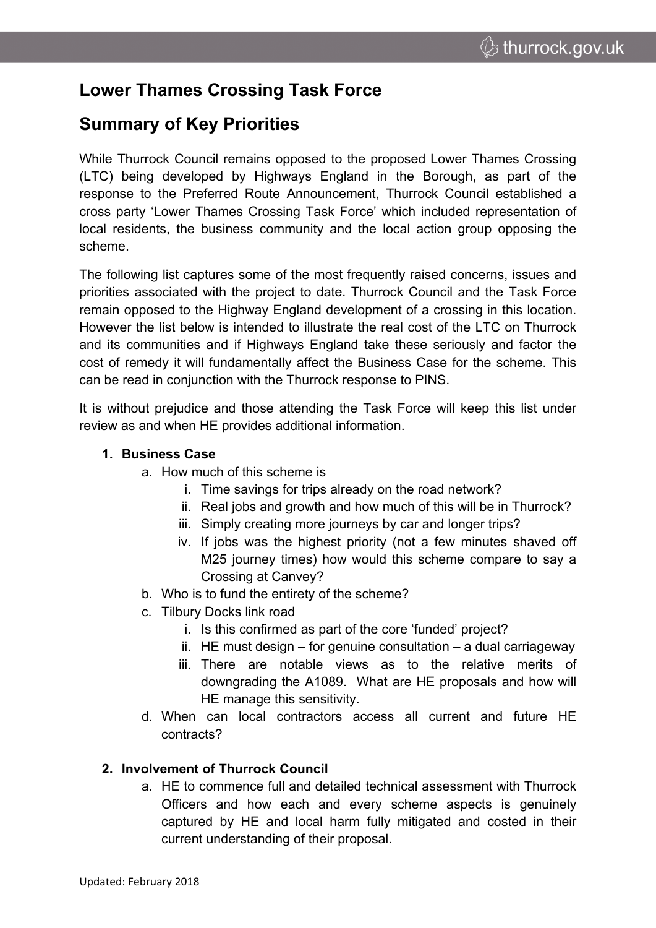# **Lower Thames Crossing Task Force**

## **Summary of Key Priorities**

While Thurrock Council remains opposed to the proposed Lower Thames Crossing (LTC) being developed by Highways England in the Borough, as part of the response to the Preferred Route Announcement, Thurrock Council established a cross party 'Lower Thames Crossing Task Force' which included representation of local residents, the business community and the local action group opposing the scheme.

The following list captures some of the most frequently raised concerns, issues and priorities associated with the project to date. Thurrock Council and the Task Force remain opposed to the Highway England development of a crossing in this location. However the list below is intended to illustrate the real cost of the LTC on Thurrock and its communities and if Highways England take these seriously and factor the cost of remedy it will fundamentally affect the Business Case for the scheme. This can be read in conjunction with the Thurrock [response](https://www.thurrock.gov.uk/sites/default/files/assets/documents/ltc-eia-scoping-response-_20171130.pdf) to PINS.

It is without prejudice and those attending the Task Force will keep this list under review as and when HE provides additional information.

## **1. Business Case**

- a. How much of this scheme is
	- i. Time savings for trips already on the road network?
	- ii. Real jobs and growth and how much of this will be in Thurrock?
	- iii. Simply creating more journeys by car and longer trips?
	- iv. If jobs was the highest priority (not a few minutes shaved off M25 journey times) how would this scheme compare to say a Crossing at Canvey?
- b. Who is to fund the entirety of the scheme?
- c. Tilbury Docks link road
	- i. Is this confirmed as part of the core 'funded' project?
	- ii. HE must design for genuine consultation a dual carriageway
	- iii. There are notable views as to the relative merits of downgrading the A1089. What are HE proposals and how will HE manage this sensitivity.
- d. When can local contractors access all current and future HE contracts?

## **2. Involvement of Thurrock Council**

a. HE to commence full and detailed technical assessment with Thurrock Officers and how each and every scheme aspects is genuinely captured by HE and local harm fully mitigated and costed in their current understanding of their proposal.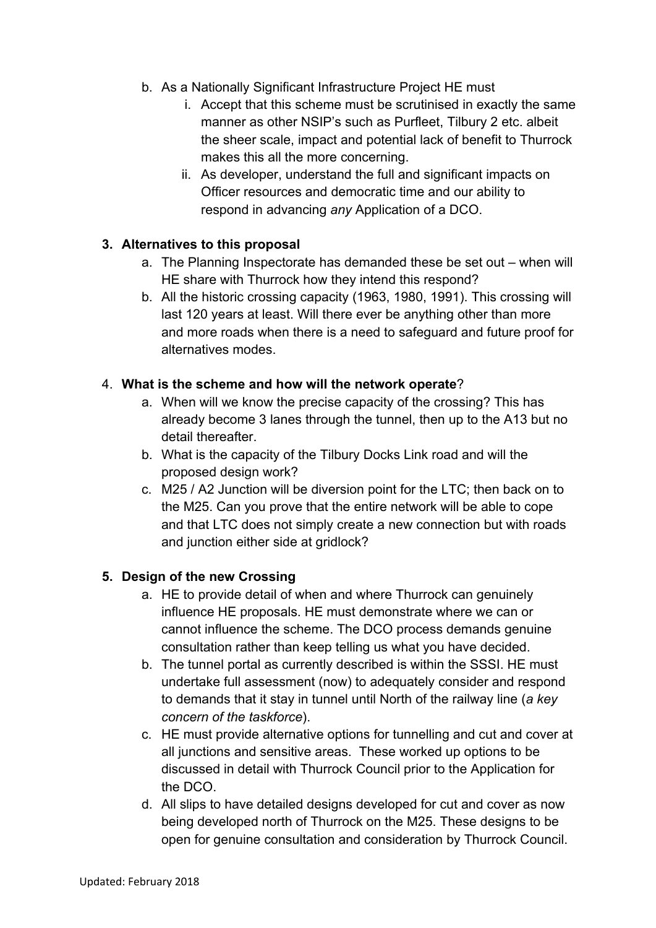- b. As a Nationally Significant Infrastructure Project HE must
	- i. Accept that this scheme must be scrutinised in exactly the same manner as other NSIP's such as Purfleet, Tilbury 2 etc. albeit the sheer scale, impact and potential lack of benefit to Thurrock makes this all the more concerning.
	- ii. As developer, understand the full and significant impacts on Officer resources and democratic time and our ability to respond in advancing *any* Application of a DCO.

## **3. Alternatives to this proposal**

- a. The Planning Inspectorate has demanded these be set out when will HE share with Thurrock how they intend this respond?
- b. All the historic crossing capacity (1963, 1980, 1991). This crossing will last 120 years at least. Will there ever be anything other than more and more roads when there is a need to safeguard and future proof for alternatives modes.

## 4. **What is the scheme and how will the network operate**?

- a. When will we know the precise capacity of the crossing? This has already become 3 lanes through the tunnel, then up to the A13 but no detail thereafter.
- b. What is the capacity of the Tilbury Docks Link road and will the proposed design work?
- c. M25 / A2 Junction will be diversion point for the LTC; then back on to the M25. Can you prove that the entire network will be able to cope and that LTC does not simply create a new connection but with roads and junction either side at gridlock?

## **5. Design of the new Crossing**

- a. HE to provide detail of when and where Thurrock can genuinely influence HE proposals. HE must demonstrate where we can or cannot influence the scheme. The DCO process demands genuine consultation rather than keep telling us what you have decided.
- b. The tunnel portal as currently described is within the SSSI. HE must undertake full assessment (now) to adequately consider and respond to demands that it stay in tunnel until North of the railway line (*a key concern of the taskforce*).
- c. HE must provide alternative options for tunnelling and cut and cover at all junctions and sensitive areas. These worked up options to be discussed in detail with Thurrock Council prior to the Application for the DCO.
- d. All slips to have detailed designs developed for cut and cover as now being developed north of Thurrock on the M25. These designs to be open for genuine consultation and consideration by Thurrock Council.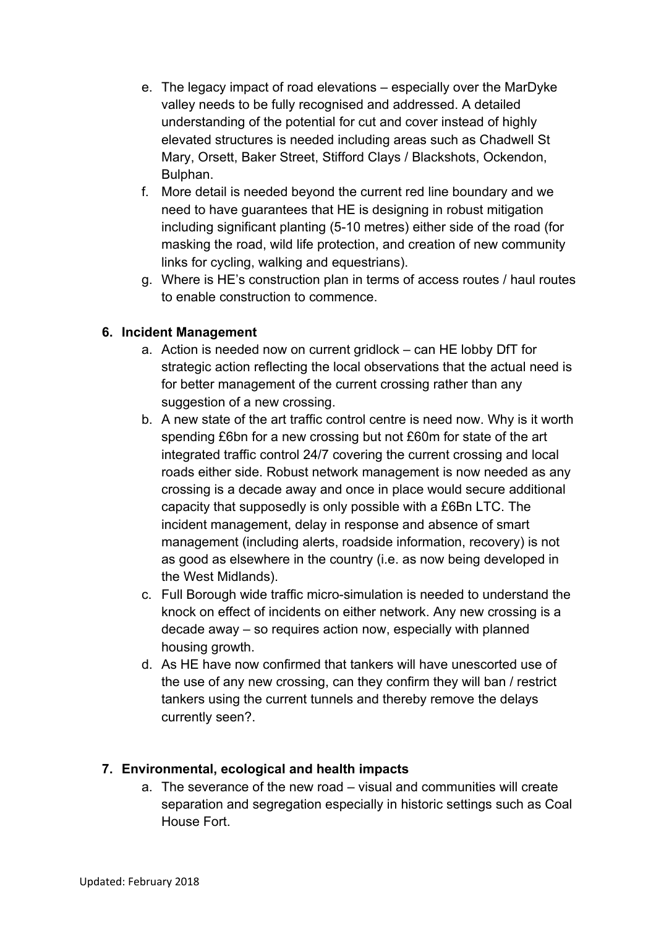- e. The legacy impact of road elevations especially over the MarDyke valley needs to be fully recognised and addressed. A detailed understanding of the potential for cut and cover instead of highly elevated structures is needed including areas such as Chadwell St Mary, Orsett, Baker Street, Stifford Clays / Blackshots, Ockendon, Bulphan.
- f. More detail is needed beyond the current red line boundary and we need to have guarantees that HE is designing in robust mitigation including significant planting (5-10 metres) either side of the road (for masking the road, wild life protection, and creation of new community links for cycling, walking and equestrians).
- g. Where is HE's construction plan in terms of access routes / haul routes to enable construction to commence.

#### **6. Incident Management**

- a. Action is needed now on current gridlock can HE lobby DfT for strategic action reflecting the local observations that the actual need is for better management of the current crossing rather than any suggestion of a new crossing.
- b. A new state of the art traffic control centre is need now. Why is it worth spending £6bn for a new crossing but not £60m for state of the art integrated traffic control 24/7 covering the current crossing and local roads either side. Robust network management is now needed as any crossing is a decade away and once in place would secure additional capacity that supposedly is only possible with a £6Bn LTC. The incident management, delay in response and absence of smart management (including alerts, roadside information, recovery) is not as good as elsewhere in the country (i.e. as now being developed in the West Midlands).
- c. Full Borough wide traffic micro-simulation is needed to understand the knock on effect of incidents on either network. Any new crossing is a decade away – so requires action now, especially with planned housing growth.
- d. As HE have now confirmed that tankers will have unescorted use of the use of any new crossing, can they confirm they will ban / restrict tankers using the current tunnels and thereby remove the delays currently seen?.

## **7. Environmental, ecological and health impacts**

a. The severance of the new road – visual and communities will create separation and segregation especially in historic settings such as Coal House Fort.